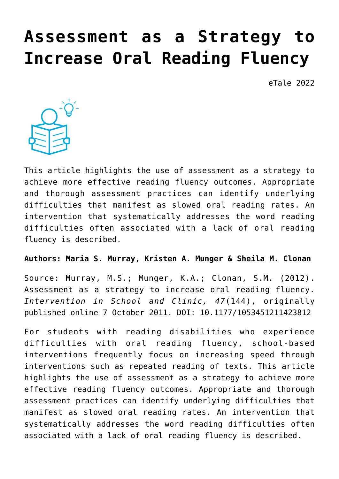# **[Assessment as a Strategy to](https://dev.taleafrica.com/2020/12/01/assessment-as-a-strategy-to-increase-oral-reading-fluency/) [Increase Oral Reading Fluency](https://dev.taleafrica.com/2020/12/01/assessment-as-a-strategy-to-increase-oral-reading-fluency/)**

eTale 2022



This article highlights the use of assessment as a strategy to achieve more effective reading fluency outcomes. Appropriate and thorough assessment practices can identify underlying difficulties that manifest as slowed oral reading rates. An intervention that systematically addresses the word reading difficulties often associated with a lack of oral reading fluency is described.

#### **Authors: Maria S. Murray, Kristen A. Munger & Sheila M. Clonan**

Source: Murray, M.S.; Munger, K.A.; Clonan, S.M. (2012). Assessment as a strategy to increase oral reading fluency. *Intervention in School and Clinic, 47*(144), originally published online 7 October 2011. DOI: 10.1177/1053451211423812

For students with reading disabilities who experience difficulties with oral reading fluency, school-based interventions frequently focus on increasing speed through interventions such as repeated reading of texts. This article highlights the use of assessment as a strategy to achieve more effective reading fluency outcomes. Appropriate and thorough assessment practices can identify underlying difficulties that manifest as slowed oral reading rates. An intervention that systematically addresses the word reading difficulties often associated with a lack of oral reading fluency is described.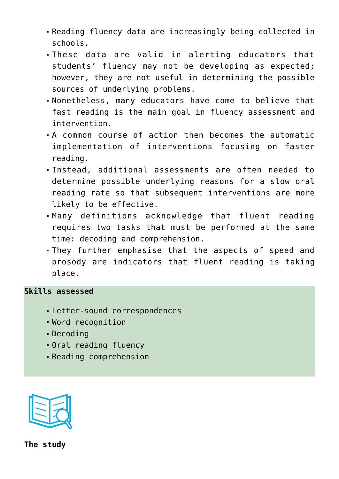- Reading fluency data are increasingly being collected in schools.
- These data are valid in alerting educators that students' fluency may not be developing as expected; however, they are not useful in determining the possible sources of underlying problems.
- Nonetheless, many educators have come to believe that fast reading is the main goal in fluency assessment and intervention.
- A common course of action then becomes the automatic implementation of interventions focusing on faster reading.
- Instead, additional assessments are often needed to determine possible underlying reasons for a slow oral reading rate so that subsequent interventions are more likely to be effective.
- Many definitions acknowledge that fluent reading requires two tasks that must be performed at the same time: decoding and comprehension.
- They further emphasise that the aspects of speed and prosody are indicators that fluent reading is taking place.

#### **Skills assessed**

- Letter-sound correspondences
- Word recognition
- Decoding
- Oral reading fluency
- Reading comprehension

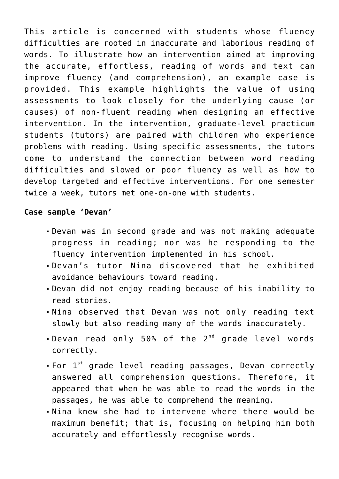This article is concerned with students whose fluency difficulties are rooted in inaccurate and laborious reading of words. To illustrate how an intervention aimed at improving the accurate, effortless, reading of words and text can improve fluency (and comprehension), an example case is provided. This example highlights the value of using assessments to look closely for the underlying cause (or causes) of non-fluent reading when designing an effective intervention. In the intervention, graduate-level practicum students (tutors) are paired with children who experience problems with reading. Using specific assessments, the tutors come to understand the connection between word reading difficulties and slowed or poor fluency as well as how to develop targeted and effective interventions. For one semester twice a week, tutors met one-on-one with students.

#### **Case sample 'Devan'**

- Devan was in second grade and was not making adequate progress in reading; nor was he responding to the fluency intervention implemented in his school.
- Devan's tutor Nina discovered that he exhibited avoidance behaviours toward reading.
- Devan did not enjoy reading because of his inability to read stories.
- Nina observed that Devan was not only reading text slowly but also reading many of the words inaccurately.
- . Devan read only 50% of the 2<sup>nd</sup> grade level words correctly.
- For 1<sup>st</sup> grade level reading passages, Devan correctly answered all comprehension questions. Therefore, it appeared that when he was able to read the words in the passages, he was able to comprehend the meaning.
- Nina knew she had to intervene where there would be maximum benefit; that is, focusing on helping him both accurately and effortlessly recognise words.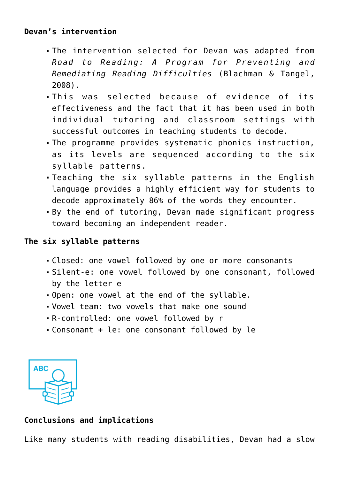## **Devan's intervention**

- The intervention selected for Devan was adapted from *Road to Reading: A Program for Preventing and Remediating Reading Difficulties* (Blachman & Tangel, 2008).
- This was selected because of evidence of its effectiveness and the fact that it has been used in both individual tutoring and classroom settings with successful outcomes in teaching students to decode.
- The programme provides systematic phonics instruction, as its levels are sequenced according to the six syllable patterns.
- Teaching the six syllable patterns in the English language provides a highly efficient way for students to decode approximately 86% of the words they encounter.
- By the end of tutoring, Devan made significant progress toward becoming an independent reader.

### **The six syllable patterns**

- Closed: one vowel followed by one or more consonants
- Silent-e: one vowel followed by one consonant, followed by the letter e
- Open: one vowel at the end of the syllable.
- Vowel team: two vowels that make one sound
- R-controlled: one vowel followed by r
- Consonant + le: one consonant followed by le



## **Conclusions and implications**

Like many students with reading disabilities, Devan had a slow